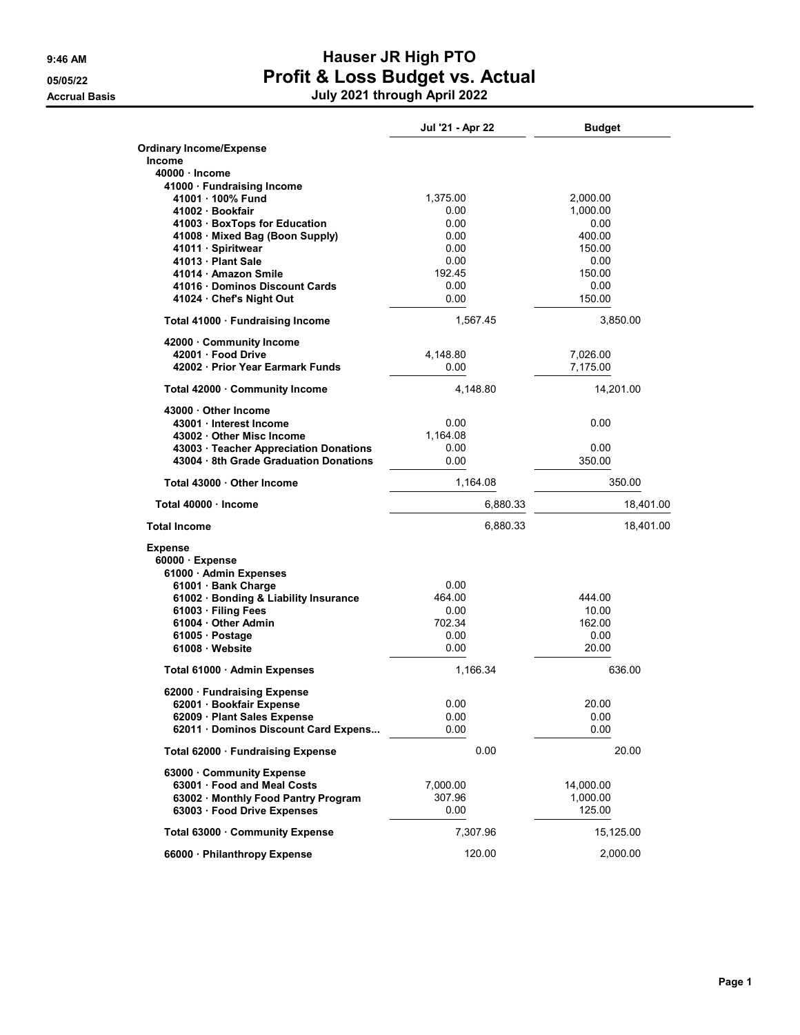## 9:46 AM **Hauser JR High PTO** 05/05/22 **Profit & Loss Budget vs. Actual** Accrual Basis July 2021 through April 2022

|                                                                                  | Jul '21 - Apr 22 | <b>Budget</b>        |
|----------------------------------------------------------------------------------|------------------|----------------------|
| <b>Ordinary Income/Expense</b>                                                   |                  |                      |
| <b>Income</b>                                                                    |                  |                      |
| 40000 · Income                                                                   |                  |                      |
| 41000 · Fundraising Income                                                       |                  |                      |
| 41001 100% Fund<br>41002 Bookfair                                                | 1,375.00<br>0.00 | 2,000.00<br>1,000.00 |
| 41003 · BoxTops for Education                                                    | 0.00             | 0.00                 |
| 41008 Mixed Bag (Boon Supply)                                                    | 0.00             | 400.00               |
| 41011 · Spiritwear                                                               | 0.00             | 150.00               |
| 41013 Plant Sale                                                                 | 0.00             | 0.00                 |
| 41014 · Amazon Smile                                                             | 192.45           | 150.00               |
| 41016 Dominos Discount Cards                                                     | 0.00             | 0.00                 |
| 41024 Chef's Night Out                                                           | 0.00             | 150.00               |
| Total 41000 · Fundraising Income                                                 | 1,567.45         | 3,850.00             |
| 42000 Community Income                                                           |                  |                      |
| 42001 Food Drive                                                                 | 4,148.80         | 7,026.00             |
| 42002 Prior Year Earmark Funds                                                   | 0.00             | 7,175.00             |
| Total 42000 Community Income                                                     | 4,148.80         | 14,201.00            |
| 43000 Other Income                                                               |                  |                      |
| 43001 Interest Income                                                            | 0.00             | 0.00                 |
| 43002 Other Misc Income                                                          | 1,164.08         |                      |
| 43003 · Teacher Appreciation Donations<br>43004 · 8th Grade Graduation Donations | 0.00             | 0.00                 |
|                                                                                  | 0.00             | 350.00               |
| Total 43000 Other Income                                                         | 1,164.08         | 350.00               |
| Total 40000 Income                                                               | 6,880.33         | 18,401.00            |
| <b>Total Income</b>                                                              | 6,880.33         | 18,401.00            |
| <b>Expense</b>                                                                   |                  |                      |
| $60000 \cdot$ Expense                                                            |                  |                      |
| 61000 · Admin Expenses                                                           |                  |                      |
| 61001 · Bank Charge                                                              | 0.00             |                      |
| 61002 · Bonding & Liability Insurance<br>61003 · Filing Fees                     | 464.00<br>0.00   | 444.00<br>10.00      |
| 61004 · Other Admin                                                              | 702.34           | 162.00               |
| 61005 Postage                                                                    | 0.00             | 0.00                 |
| 61008 Website                                                                    | 0.00             | 20.00                |
| Total 61000 · Admin Expenses                                                     | 1,166.34         | 636.00               |
| 62000 · Fundraising Expense                                                      |                  |                      |
| 62001 · Booktair Expense                                                         | 0.00             | 20.00                |
| 62009 · Plant Sales Expense                                                      | 0.00             | 0.00                 |
| 62011 Dominos Discount Card Expens                                               | 0.00             | 0.00                 |
| Total 62000 Fundraising Expense                                                  | 0.00             | 20.00                |
| 63000 Community Expense                                                          |                  |                      |
| 63001 Food and Meal Costs                                                        | 7,000.00         | 14,000.00            |
| 63002 · Monthly Food Pantry Program                                              | 307.96           | 1,000.00             |
| 63003 · Food Drive Expenses                                                      | 0.00             | 125.00               |
| Total 63000 · Community Expense                                                  | 7,307.96         | 15,125.00            |
| 66000 · Philanthropy Expense                                                     | 120.00           | 2,000.00             |